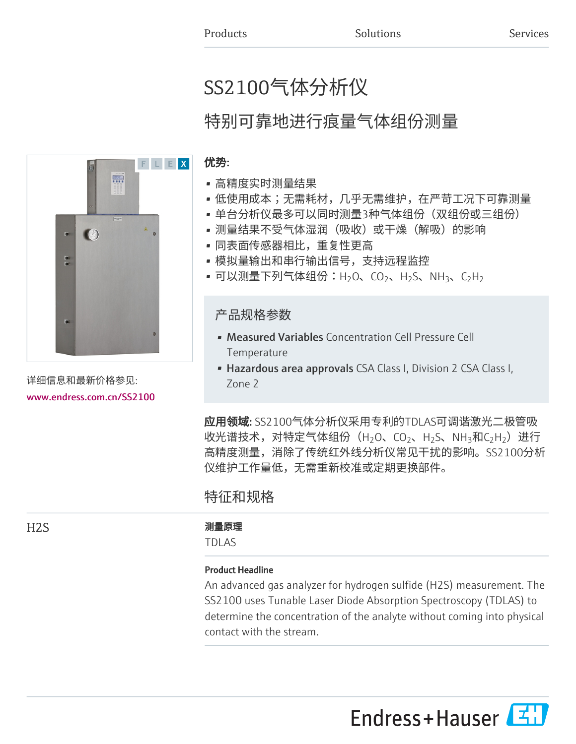# SS2100气体分析仪

# 特别可靠地进行痕量气体组份测量

# 优势:

- 高精度实时测量结果
- 低使用成本;无需耗材,几乎无需维护,在严苛工况下可靠测量
- 单台分析仪最多可以同时测量3种气体组份(双组份或三组份)
- 测量结果不受气体湿润(吸收)或干燥(解吸)的影响
- 同表面传感器相比,重复性更高
- 模拟量输出和串行输出信号,支持远程监控
- 可以测量下列气体组份:H<sub>2</sub>O、CO<sub>2</sub>、H<sub>2</sub>S、NH<sub>3</sub>、C<sub>2</sub>H<sub>2</sub>

# 产品规格参数

- Measured Variables Concentration Cell Pressure Cell Temperature
- Hazardous area approvals CSA Class I, Division 2 CSA Class I, Zone 2

应用领域: SS2100气体分析仪采用专利的TDLAS可调谐激光二极管吸 收光谱技术,对特定气体组份(H $_2$ O、CO $_2$ 、H $_2$ S、NH $_3$ 和C $_2$ H $_2$ )进行 高精度测量,消除了传统红外线分析仪常见干扰的影响。SS2100分析 仪维护工作量低,无需重新校准或定期更换部件。

# 特征和规格

# H2S 测量原理

TDLAS

# Product Headline

An advanced gas analyzer for hydrogen sulfide (H2S) measurement. The SS2100 uses Tunable Laser Diode Absorption Spectroscopy (TDLAS) to determine the concentration of the analyte without coming into physical contact with the stream.



详细信息和最新价格参见: [www.endress.com.cn/SS2100](https://www.endress.com.cn/SS2100)

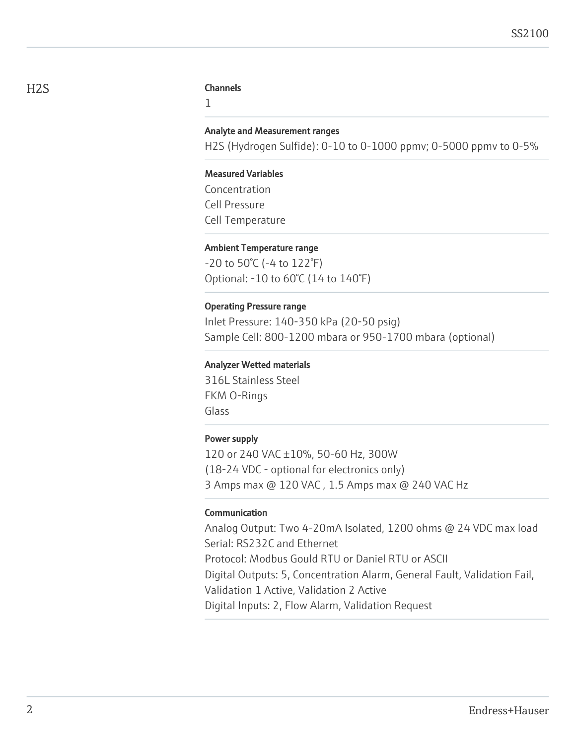#### H<sub>2</sub>S Channels

1

#### Analyte and Measurement ranges

H2S (Hydrogen Sulfide): 0-10 to 0-1000 ppmv; 0-5000 ppmv to 0-5%

#### Measured Variables

Concentration Cell Pressure Cell Temperature

#### Ambient Temperature range

-20 to 50°C (-4 to 122°F) Optional: -10 to 60°C (14 to 140°F)

#### Operating Pressure range

Inlet Pressure: 140-350 kPa (20-50 psig) Sample Cell: 800-1200 mbara or 950-1700 mbara (optional)

#### Analyzer Wetted materials

316L Stainless Steel FKM O-Rings Glass

#### Power supply

120 or 240 VAC ±10%, 50-60 Hz, 300W (18-24 VDC - optional for electronics only) 3 Amps max @ 120 VAC , 1.5 Amps max @ 240 VAC Hz

#### Communication

Analog Output: Two 4-20mA Isolated, 1200 ohms @ 24 VDC max load Serial: RS232C and Ethernet Protocol: Modbus Gould RTU or Daniel RTU or ASCII Digital Outputs: 5, Concentration Alarm, General Fault, Validation Fail, Validation 1 Active, Validation 2 Active Digital Inputs: 2, Flow Alarm, Validation Request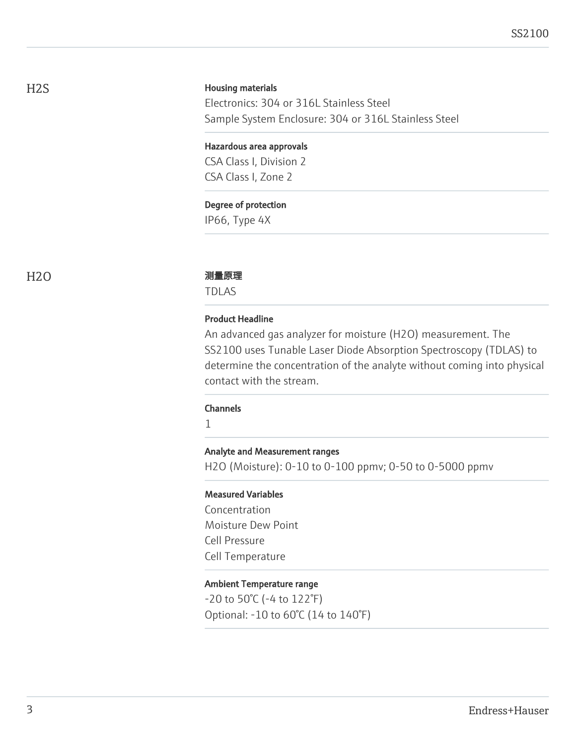#### Housing materials

Electronics: 304 or 316L Stainless Steel Sample System Enclosure: 304 or 316L Stainless Steel

#### Hazardous area approvals

CSA Class I, Division 2 CSA Class I, Zone 2

#### Degree of protection

IP66, Type 4X

#### H2O 2000 2000 2000 测量原理

TDLAS

#### Product Headline

An advanced gas analyzer for moisture (H2O) measurement. The SS2100 uses Tunable Laser Diode Absorption Spectroscopy (TDLAS) to determine the concentration of the analyte without coming into physical contact with the stream.

#### Channels

1

#### Analyte and Measurement ranges

H2O (Moisture): 0-10 to 0-100 ppmv; 0-50 to 0-5000 ppmv

#### Measured Variables

Concentration Moisture Dew Point Cell Pressure Cell Temperature

#### Ambient Temperature range

-20 to 50°C (-4 to 122°F) Optional: -10 to 60°C (14 to 140°F)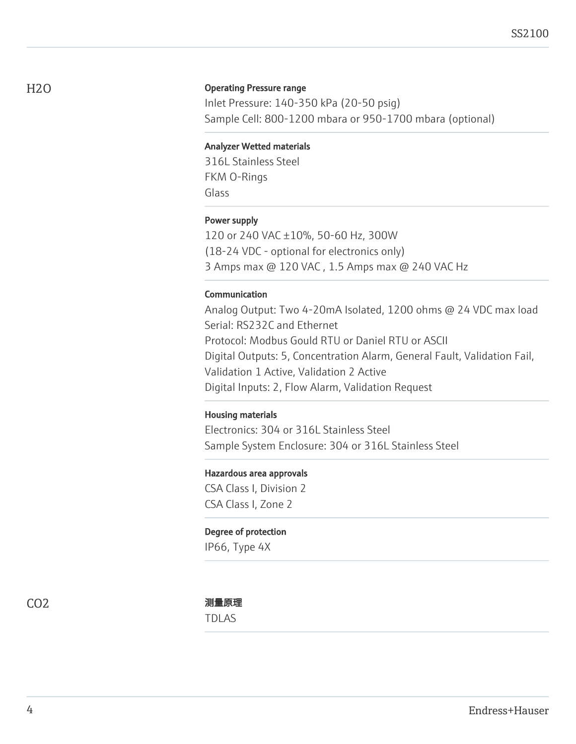#### Operating Pressure range

Inlet Pressure: 140-350 kPa (20-50 psig) Sample Cell: 800-1200 mbara or 950-1700 mbara (optional)

#### Analyzer Wetted materials

316L Stainless Steel FKM O-Rings Glass

#### Power supply

120 or 240 VAC ±10%, 50-60 Hz, 300W (18-24 VDC - optional for electronics only) 3 Amps max @ 120 VAC , 1.5 Amps max @ 240 VAC Hz

#### Communication

Analog Output: Two 4-20mA Isolated, 1200 ohms @ 24 VDC max load Serial: RS232C and Ethernet Protocol: Modbus Gould RTU or Daniel RTU or ASCII Digital Outputs: 5, Concentration Alarm, General Fault, Validation Fail, Validation 1 Active, Validation 2 Active Digital Inputs: 2, Flow Alarm, Validation Request

#### Housing materials

Electronics: 304 or 316L Stainless Steel Sample System Enclosure: 304 or 316L Stainless Steel

#### Hazardous area approvals

CSA Class I, Division 2 CSA Class I, Zone 2

#### Degree of protection

IP66, Type 4X

TDLAS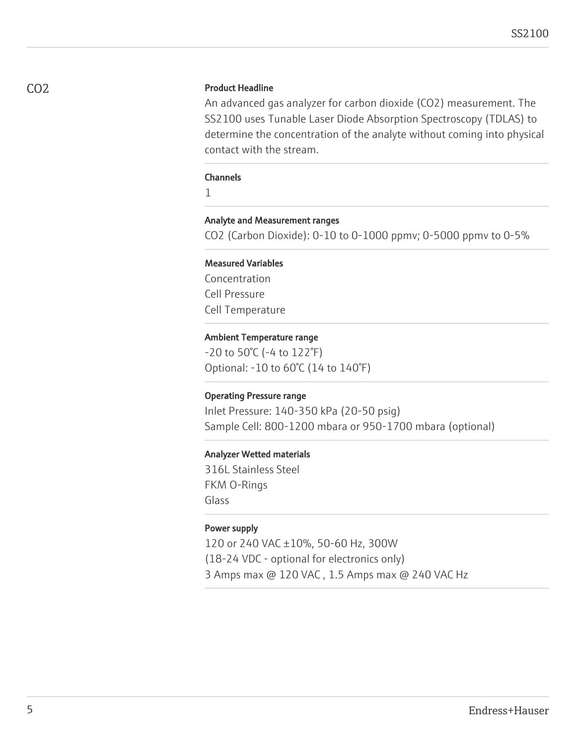#### Product Headline

An advanced gas analyzer for carbon dioxide (CO2) measurement. The SS2100 uses Tunable Laser Diode Absorption Spectroscopy (TDLAS) to determine the concentration of the analyte without coming into physical contact with the stream.

#### **Channels**

1

#### Analyte and Measurement ranges

CO2 (Carbon Dioxide): 0-10 to 0-1000 ppmv; 0-5000 ppmv to 0-5%

#### Measured Variables

Concentration Cell Pressure Cell Temperature

#### Ambient Temperature range

-20 to 50°C (-4 to 122°F) Optional: -10 to 60°C (14 to 140°F)

#### Operating Pressure range

Inlet Pressure: 140-350 kPa (20-50 psig) Sample Cell: 800-1200 mbara or 950-1700 mbara (optional)

#### Analyzer Wetted materials

316L Stainless Steel FKM O-Rings Glass

#### Power supply

120 or 240 VAC ±10%, 50-60 Hz, 300W (18-24 VDC - optional for electronics only) 3 Amps max @ 120 VAC , 1.5 Amps max @ 240 VAC Hz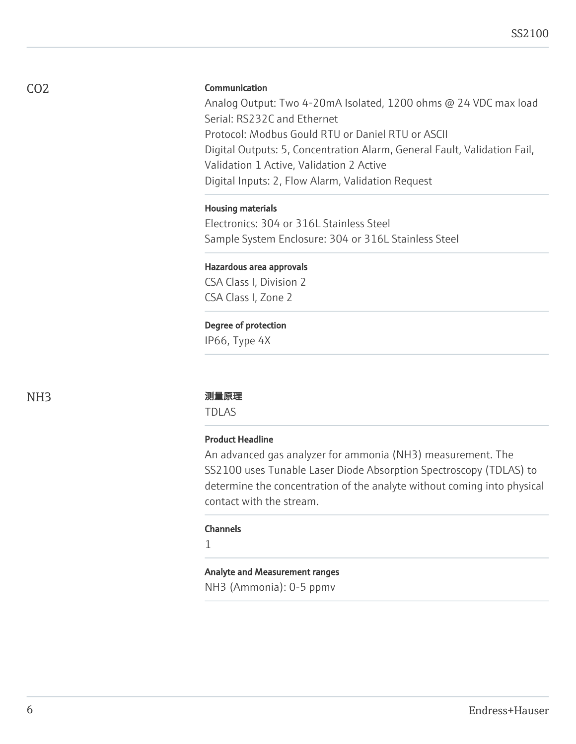#### **Communication**

Analog Output: Two 4-20mA Isolated, 1200 ohms @ 24 VDC max load Serial: RS232C and Ethernet Protocol: Modbus Gould RTU or Daniel RTU or ASCII Digital Outputs: 5, Concentration Alarm, General Fault, Validation Fail, Validation 1 Active, Validation 2 Active Digital Inputs: 2, Flow Alarm, Validation Request

#### Housing materials

Electronics: 304 or 316L Stainless Steel Sample System Enclosure: 304 or 316L Stainless Steel

# Hazardous area approvals

CSA Class I, Division 2 CSA Class I, Zone 2

### Degree of protection

IP66, Type 4X

#### NH3 测量原理

TDLAS

#### Product Headline

An advanced gas analyzer for ammonia (NH3) measurement. The SS2100 uses Tunable Laser Diode Absorption Spectroscopy (TDLAS) to determine the concentration of the analyte without coming into physical contact with the stream.

#### **Channels**

1

#### Analyte and Measurement ranges

NH3 (Ammonia): 0-5 ppmv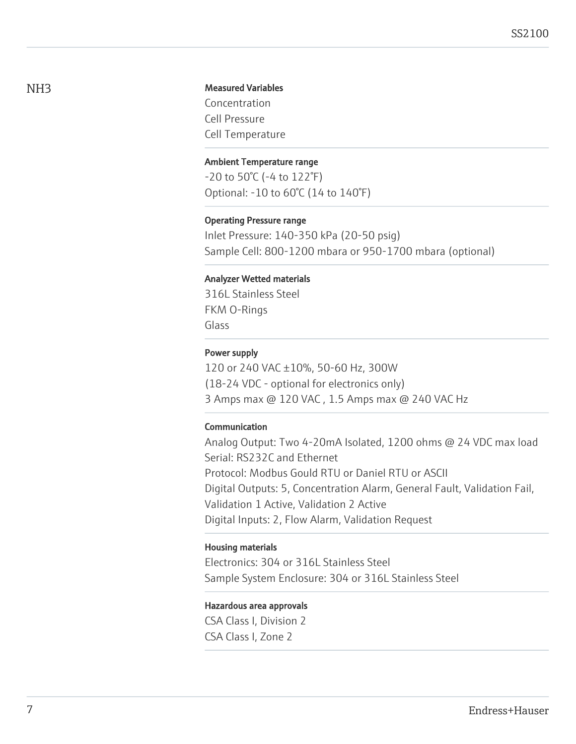#### Measured Variables

Concentration Cell Pressure Cell Temperature

#### Ambient Temperature range

-20 to 50°C (-4 to 122°F) Optional: -10 to 60°C (14 to 140°F)

#### Operating Pressure range

Inlet Pressure: 140-350 kPa (20-50 psig) Sample Cell: 800-1200 mbara or 950-1700 mbara (optional)

#### Analyzer Wetted materials

316L Stainless Steel FKM O-Rings Glass

#### Power supply

120 or 240 VAC ±10%, 50-60 Hz, 300W (18-24 VDC - optional for electronics only) 3 Amps max @ 120 VAC , 1.5 Amps max @ 240 VAC Hz

#### Communication

Analog Output: Two 4-20mA Isolated, 1200 ohms @ 24 VDC max load Serial: RS232C and Ethernet Protocol: Modbus Gould RTU or Daniel RTU or ASCII Digital Outputs: 5, Concentration Alarm, General Fault, Validation Fail, Validation 1 Active, Validation 2 Active Digital Inputs: 2, Flow Alarm, Validation Request

#### Housing materials

Electronics: 304 or 316L Stainless Steel Sample System Enclosure: 304 or 316L Stainless Steel

#### Hazardous area approvals

CSA Class I, Division 2 CSA Class I, Zone 2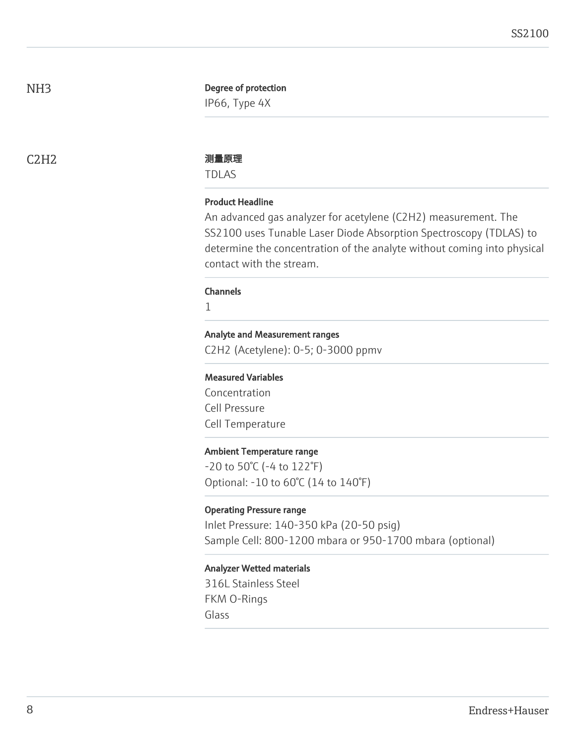#### Degree of protection

IP66, Type 4X

#### C2H2 测量原理

TDLAS

#### Product Headline

An advanced gas analyzer for acetylene (C2H2) measurement. The SS2100 uses Tunable Laser Diode Absorption Spectroscopy (TDLAS) to determine the concentration of the analyte without coming into physical contact with the stream.

#### **Channels**

1

#### Analyte and Measurement ranges

C2H2 (Acetylene): 0-5; 0-3000 ppmv

#### Measured Variables

Concentration Cell Pressure Cell Temperature

#### Ambient Temperature range

-20 to 50°C (-4 to 122°F) Optional: -10 to 60°C (14 to 140°F)

#### Operating Pressure range

Inlet Pressure: 140-350 kPa (20-50 psig) Sample Cell: 800-1200 mbara or 950-1700 mbara (optional)

#### Analyzer Wetted materials

316L Stainless Steel FKM O-Rings Glass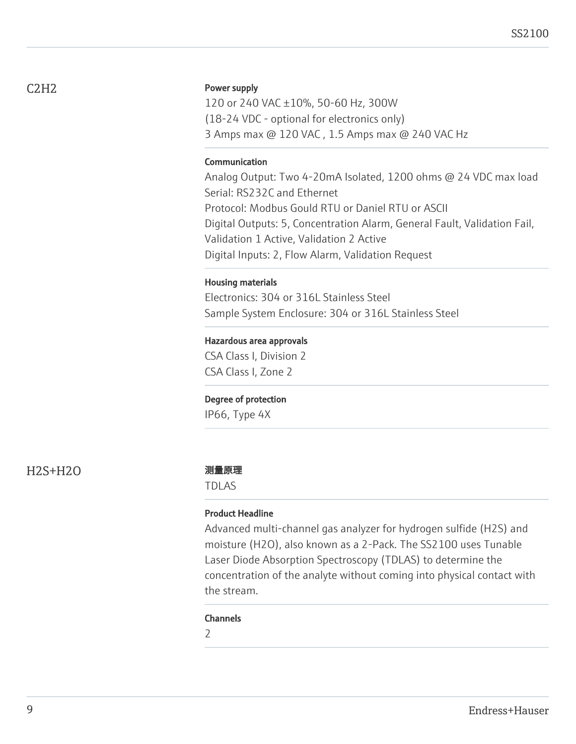# C2H2

#### Power supply

120 or 240 VAC ±10%, 50-60 Hz, 300W (18-24 VDC - optional for electronics only) 3 Amps max @ 120 VAC , 1.5 Amps max @ 240 VAC Hz

#### **Communication**

Analog Output: Two 4-20mA Isolated, 1200 ohms @ 24 VDC max load Serial: RS232C and Ethernet Protocol: Modbus Gould RTU or Daniel RTU or ASCII Digital Outputs: 5, Concentration Alarm, General Fault, Validation Fail, Validation 1 Active, Validation 2 Active Digital Inputs: 2, Flow Alarm, Validation Request

#### Housing materials

Electronics: 304 or 316L Stainless Steel Sample System Enclosure: 304 or 316L Stainless Steel

#### Hazardous area approvals

CSA Class I, Division 2 CSA Class I, Zone 2

#### Degree of protection

IP66, Type 4X

H2S+H2O 测量原理

TDLAS

#### Product Headline

Advanced multi-channel gas analyzer for hydrogen sulfide (H2S) and moisture (H2O), also known as a 2-Pack. The SS2100 uses Tunable Laser Diode Absorption Spectroscopy (TDLAS) to determine the concentration of the analyte without coming into physical contact with the stream.

#### Channels

2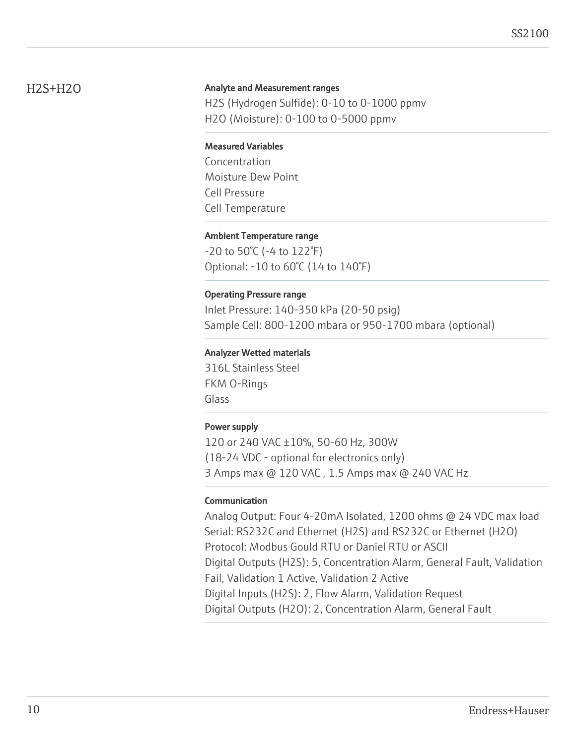# H2S+H2O

### Analyte and Measurement ranges

H2S (Hydrogen Sulfide): 0-10 to 0-1000 ppmv H2O (Moisture): 0-100 to 0-5000 ppmv

#### Measured Variables

Concentration Moisture Dew Point Cell Pressure Cell Temperature

#### Ambient Temperature range

-20 to 50°C (-4 to 122°F) Optional: -10 to 60°C (14 to 140°F)

#### Operating Pressure range

Inlet Pressure: 140-350 kPa (20-50 psig) Sample Cell: 800-1200 mbara or 950-1700 mbara (optional)

### Analyzer Wetted materials

316L Stainless Steel FKM O-Rings Glass

#### Power supply

120 or 240 VAC ±10%, 50-60 Hz, 300W (18-24 VDC - optional for electronics only) 3 Amps max @ 120 VAC , 1.5 Amps max @ 240 VAC Hz

# Communication

Analog Output: Four 4-20mA Isolated, 1200 ohms @ 24 VDC max load Serial: RS232C and Ethernet (H2S) and RS232C or Ethernet (H2O) Protocol: Modbus Gould RTU or Daniel RTU or ASCII Digital Outputs (H2S): 5, Concentration Alarm, General Fault, Validation Fail, Validation 1 Active, Validation 2 Active Digital Inputs (H2S): 2, Flow Alarm, Validation Request Digital Outputs (H2O): 2, Concentration Alarm, General Fault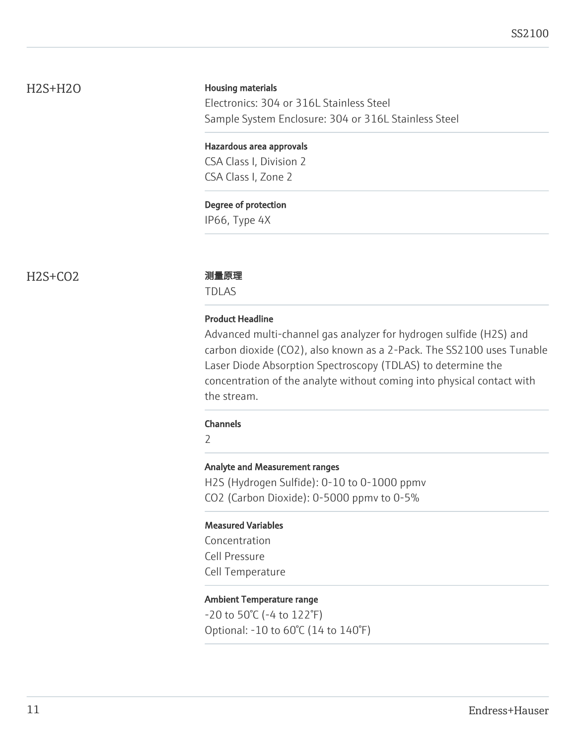# H2S+H2O

#### Housing materials

Electronics: 304 or 316L Stainless Steel Sample System Enclosure: 304 or 316L Stainless Steel

#### Hazardous area approvals

CSA Class I, Division 2 CSA Class I, Zone 2

#### Degree of protection

IP66, Type 4X

# H2S+CO2 测量原理

TDLAS

#### Product Headline

Advanced multi-channel gas analyzer for hydrogen sulfide (H2S) and carbon dioxide (CO2), also known as a 2-Pack. The SS2100 uses Tunable Laser Diode Absorption Spectroscopy (TDLAS) to determine the concentration of the analyte without coming into physical contact with the stream.

#### Channels

2

#### Analyte and Measurement ranges

H2S (Hydrogen Sulfide): 0-10 to 0-1000 ppmv CO2 (Carbon Dioxide): 0-5000 ppmv to 0-5%

#### Measured Variables

Concentration Cell Pressure Cell Temperature

### Ambient Temperature range

-20 to 50°C (-4 to 122°F) Optional: -10 to 60°C (14 to 140°F)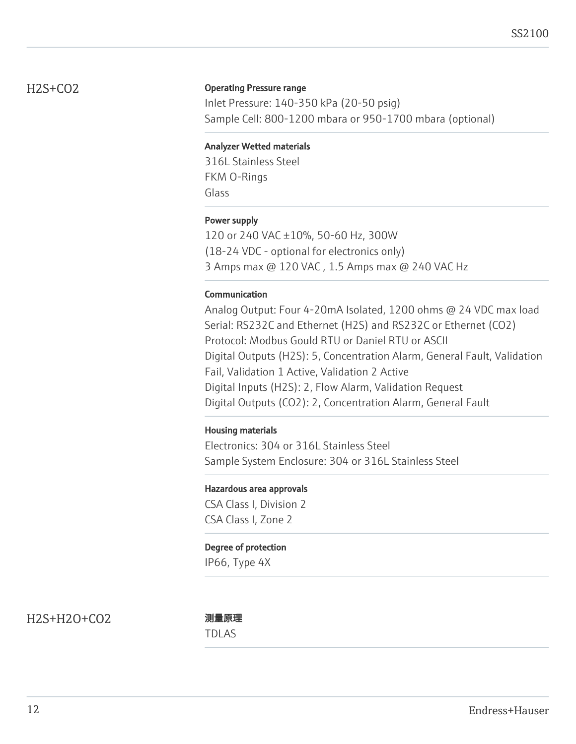# H2S+CO2

#### Operating Pressure range

Inlet Pressure: 140-350 kPa (20-50 psig) Sample Cell: 800-1200 mbara or 950-1700 mbara (optional)

### Analyzer Wetted materials

316L Stainless Steel FKM O-Rings Glass

# Power supply

120 or 240 VAC ±10%, 50-60 Hz, 300W (18-24 VDC - optional for electronics only) 3 Amps max @ 120 VAC , 1.5 Amps max @ 240 VAC Hz

### Communication

Analog Output: Four 4-20mA Isolated, 1200 ohms @ 24 VDC max load Serial: RS232C and Ethernet (H2S) and RS232C or Ethernet (CO2) Protocol: Modbus Gould RTU or Daniel RTU or ASCII Digital Outputs (H2S): 5, Concentration Alarm, General Fault, Validation Fail, Validation 1 Active, Validation 2 Active Digital Inputs (H2S): 2, Flow Alarm, Validation Request Digital Outputs (CO2): 2, Concentration Alarm, General Fault

#### Housing materials

Electronics: 304 or 316L Stainless Steel Sample System Enclosure: 304 or 316L Stainless Steel

#### Hazardous area approvals

CSA Class I, Division 2 CSA Class I, Zone 2

#### Degree of protection

IP66, Type 4X

H2S+H2O+CO2 测量原理

TDLAS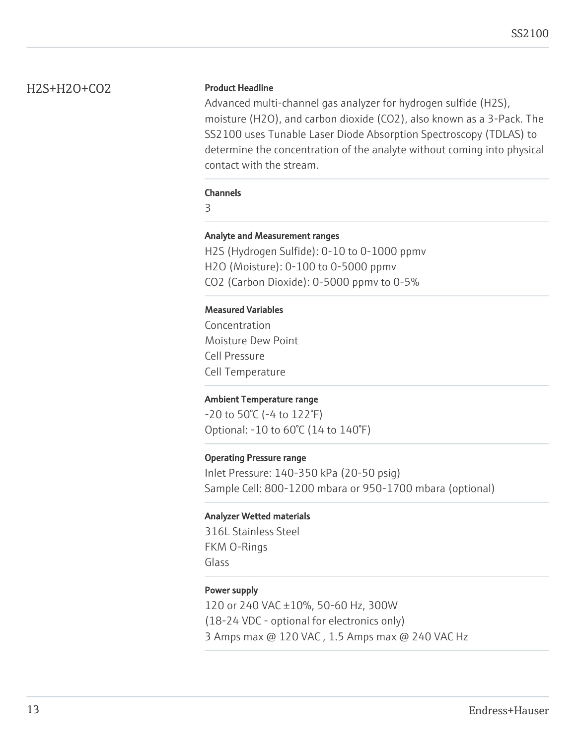# H2S+H2O+CO2

### Product Headline

Advanced multi-channel gas analyzer for hydrogen sulfide (H2S), moisture (H2O), and carbon dioxide (CO2), also known as a 3-Pack. The SS2100 uses Tunable Laser Diode Absorption Spectroscopy (TDLAS) to determine the concentration of the analyte without coming into physical contact with the stream.

#### Channels

3

### Analyte and Measurement ranges

H2S (Hydrogen Sulfide): 0-10 to 0-1000 ppmv H2O (Moisture): 0-100 to 0-5000 ppmv CO2 (Carbon Dioxide): 0-5000 ppmv to 0-5%

### Measured Variables

Concentration Moisture Dew Point Cell Pressure Cell Temperature

# Ambient Temperature range

-20 to 50°C (-4 to 122°F) Optional: -10 to 60°C (14 to 140°F)

# Operating Pressure range

Inlet Pressure: 140-350 kPa (20-50 psig) Sample Cell: 800-1200 mbara or 950-1700 mbara (optional)

#### Analyzer Wetted materials

316L Stainless Steel FKM O-Rings Glass

#### Power supply

120 or 240 VAC ±10%, 50-60 Hz, 300W (18-24 VDC - optional for electronics only) 3 Amps max @ 120 VAC , 1.5 Amps max @ 240 VAC Hz